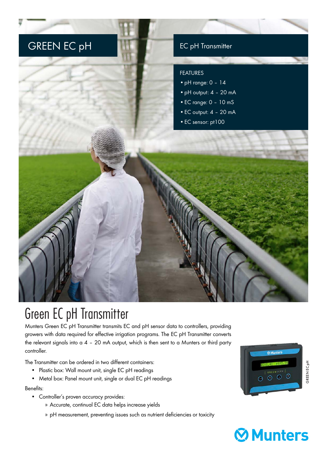

## Green EC pH Transmitter

Munters Green EC pH Transmitter transmits EC and pH sensor data to controllers, providing growers with data required for effective irrigation programs. The EC pH Transmitter converts the relevant signals into a 4 – 20 mA output, which is then sent to a Munters or third party controller.

The Transmitter can be ordered in two different containers:

- Plastic box: Wall mount unit, single EC pH readings
- Metal box: Panel mount unit, single or dual EC pH readings

## Benefits:

- Controller's proven accuracy provides:
	- » Accurate, continual EC data helps increase yields
	- » pH measurement, preventing issues such as nutrient deficiencies or toxicity